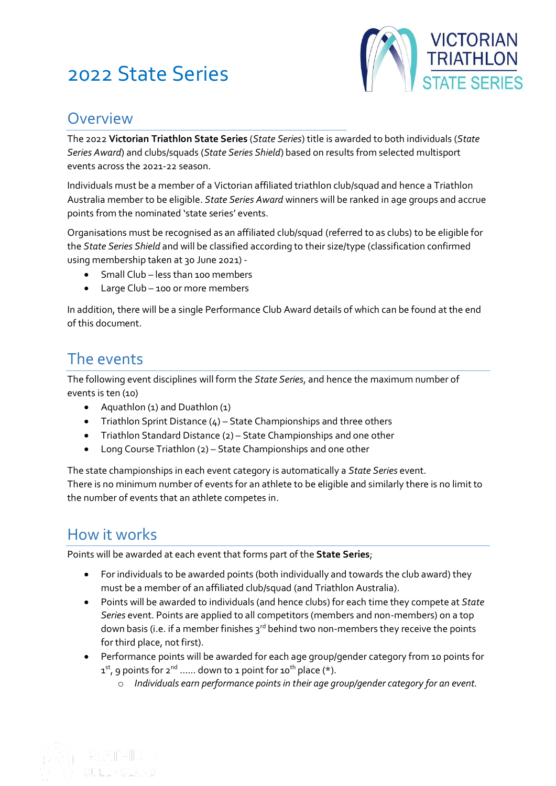# 2022 State Series



### Overview

The 2022 **Victorian Triathlon State Series** (*State Series*) title is awarded to both individuals (*State Series Award*) and clubs/squads (*State Series Shield*) based on results from selected multisport events across the 2021-22 season.

Individuals must be a member of a Victorian affiliated triathlon club/squad and hence a Triathlon Australia member to be eligible. *State Series Award* winners will be ranked in age groups and accrue points from the nominated 'state series' events.

Organisations must be recognised as an affiliated club/squad (referred to as clubs) to be eligible for the *State Series Shield* and will be classified according to their size/type (classification confirmed using membership taken at 30 June 2021) -

- Small Club less than 100 members
- Large Club 100 or more members

In addition, there will be a single Performance Club Award details of which can be found at the end of this document.

### The events

The following event disciplines will form the *State Series*, and hence the maximum number of events is ten (10)

- Aquathlon (1) and Duathlon (1)
- Triathlon Sprint Distance  $(4)$  State Championships and three others
- Triathlon Standard Distance (2) State Championships and one other
- Long Course Triathlon (2) State Championships and one other

The state championships in each event category is automatically a *State Series* event. There is no minimum number of events for an athlete to be eligible and similarly there is no limit to the number of events that an athlete competes in.

### How it works

Points will be awarded at each event that forms part of the **State Series**;

- For individuals to be awarded points (both individually and towards the club award) they must be a member of an affiliated club/squad (and Triathlon Australia).
- Points will be awarded to individuals (and hence clubs) for each time they compete at *State Series* event. Points are applied to all competitors (members and non-members) on a top down basis (i.e. if a member finishes  $3^{rd}$  behind two non-members they receive the points for third place, not first).
- Performance points will be awarded for each age group/gender category from 10 points for  $1<sup>st</sup>$ , 9 points for  $2<sup>nd</sup>$  ...... down to 1 point for  $10<sup>th</sup>$  place (\*).
	- o *Individuals earn performance points in their age group/gender category for an event.*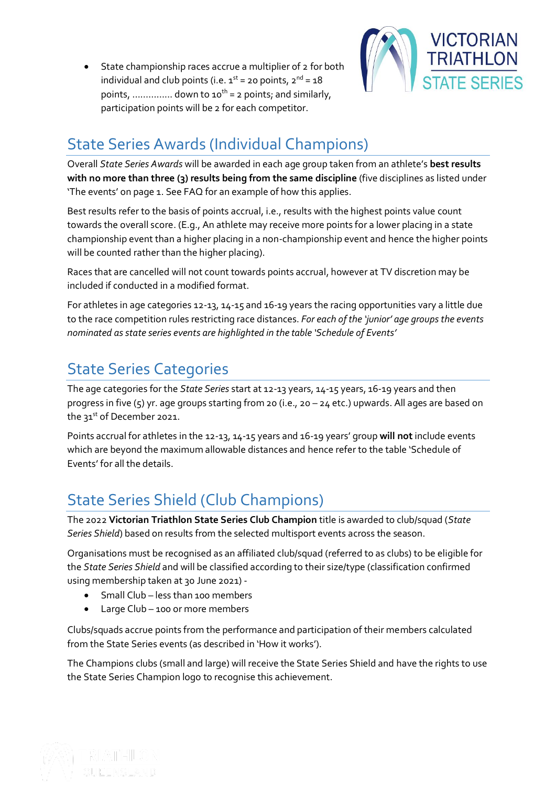• State championship races accrue a multiplier of 2 for both individual and club points (i.e.  $1^{st}$  = 20 points,  $2^{nd}$  = 18 points, .............. down to  $10^{th}$  = 2 points; and similarly, participation points will be 2 for each competitor.



## State Series Awards (Individual Champions)

Overall *State Series Awards* will be awarded in each age group taken from an athlete's **best results with no more than three (3) results being from the same discipline** (five disciplines as listed under 'The events' on page 1. See FAQ for an example of how this applies.

Best results refer to the basis of points accrual, i.e., results with the highest points value count towards the overall score. (E.g., An athlete may receive more points for a lower placing in a state championship event than a higher placing in a non-championship event and hence the higher points will be counted rather than the higher placing).

Races that are cancelled will not count towards points accrual, however at TV discretion may be included if conducted in a modified format.

For athletes in age categories 12-13, 14-15 and 16-19 years the racing opportunities vary a little due to the race competition rules restricting race distances. *For each of the 'junior' age groups the events nominated as state series events are highlighted in the table 'Schedule of Events'*

# State Series Categories

The age categories for the *State Series* start at 12-13 years, 14-15 years, 16-19 years and then progress in five (5) yr. age groups starting from 20 (i.e., 20 – 24 etc.) upwards. All ages are based on the 31st of December 2021.

Points accrual for athletes in the 12-13, 14-15 years and 16-19 years' group **will not** include events which are beyond the maximum allowable distances and hence refer to the table 'Schedule of Events' for all the details.

# State Series Shield (Club Champions)

The 2022 **Victorian Triathlon State Series Club Champion** title is awarded to club/squad (*State Series Shield*) based on results from the selected multisport events across the season.

Organisations must be recognised as an affiliated club/squad (referred to as clubs) to be eligible for the *State Series Shield* and will be classified according to their size/type (classification confirmed using membership taken at 30 June 2021) -

- Small Club less than 100 members
- Large Club 100 or more members

Clubs/squads accrue points from the performance and participation of their members calculated from the State Series events (as described in 'How it works').

The Champions clubs (small and large) will receive the State Series Shield and have the rights to use the State Series Champion logo to recognise this achievement.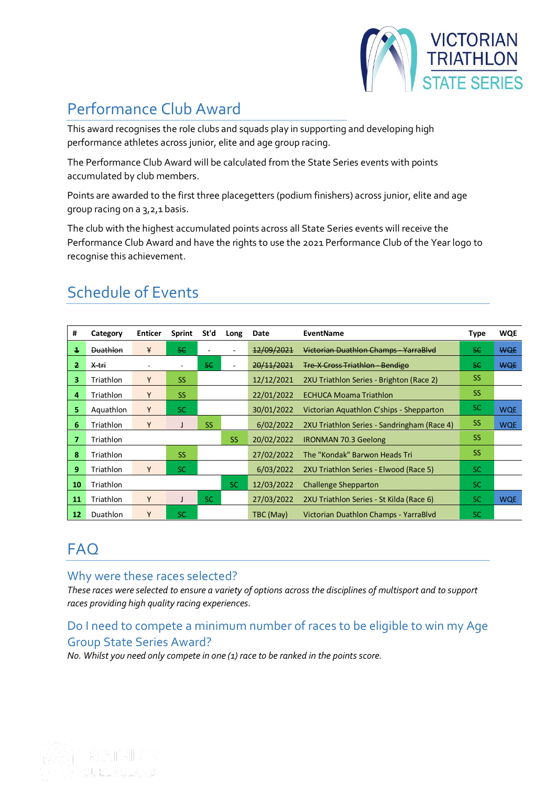

# Performance Club Award

This award recognises the role clubs and squads play in supporting and developing high performance athletes across junior, elite and age group racing.

The Performance Club Award will be calculated from the State Series events with points accumulated by club members.

Points are awarded to the first three placegetters (podium finishers) across junior, elite and age group racing on a 3,2,1 basis.

The club with the highest accumulated points across all State Series events will receive the Performance Club Award and have the rights to use the 2021 Performance Club of the Year logo to recognise this achievement.

| #  | Category         | <b>Enticer</b> | <b>Sprint</b> | St'd      | Long      | Date       | <b>EventName</b>                            | Type      | <b>WQE</b> |
|----|------------------|----------------|---------------|-----------|-----------|------------|---------------------------------------------|-----------|------------|
| 1  | <b>Duathlon</b>  | ¥              | SC.           |           |           | 12/09/2021 | Victorian Duathlon Champs YarraBlyd         | SC.       | <b>WQE</b> |
| 2. | <del>X tri</del> |                |               | S€        |           | 20/11/2021 | <b>Tre X Cross Triathlon Bendige</b>        | -se       | <b>WQE</b> |
| 3. | Triathlon        | Y              | <b>SS</b>     |           |           | 12/12/2021 | 2XU Triathlon Series - Brighton (Race 2)    | <b>SS</b> |            |
| 4  | Triathlon        | Y              | <b>SS</b>     |           |           | 22/01/2022 | <b>ECHUCA Moama Triathlon</b>               | <b>SS</b> |            |
| 5. | Aquathlon        | Y              | <b>SC</b>     |           |           | 30/01/2022 | Victorian Aguathlon C'ships - Shepparton    | SC.       | <b>WQE</b> |
| 6  | Triathlon        | Y              |               | <b>SS</b> |           | 6/02/2022  | 2XU Triathlon Series - Sandringham (Race 4) | <b>SS</b> | <b>WQE</b> |
| 7  | Triathlon        |                |               |           | <b>SS</b> | 20/02/2022 | <b>IRONMAN 70.3 Geelong</b>                 | <b>SS</b> |            |
| 8  | Triathlon        |                | <b>SS</b>     |           |           | 27/02/2022 | The "Kondak" Barwon Heads Tri               | <b>SS</b> |            |
| 9  | Triathlon        | Y              | <b>SC</b>     |           |           | 6/03/2022  | 2XU Triathlon Series - Elwood (Race 5)      | SC.       |            |
| 10 | Triathlon        |                |               |           | <b>SC</b> | 12/03/2022 | <b>Challenge Shepparton</b>                 | SC.       |            |
| 11 | Triathlon        | Y              |               | <b>SC</b> |           | 27/03/2022 | 2XU Triathlon Series - St Kilda (Race 6)    | SC.       | <b>WQE</b> |
| 12 | Duathlon         | Y              | SC            |           |           | TBC (May)  | Victorian Duathlon Champs - YarraBlvd       | <b>SC</b> |            |

## Schedule of Events

### **FAQ**

### Why were these races selected?

*These races were selected to ensure a variety of options across the disciplines of multisport and to support races providing high quality racing experiences.* 

### Do I need to compete a minimum number of races to be eligible to win my Age Group State Series Award?

*No. Whilst you need only compete in one (1) race to be ranked in the points score.*